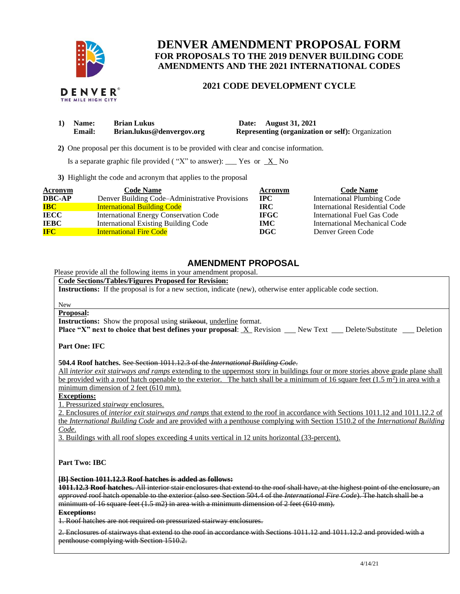

THE MILE HIGH CITY

# **DENVER AMENDMENT PROPOSAL FORM FOR PROPOSALS TO THE 2019 DENVER BUILDING CODE AMENDMENTS AND THE 2021 INTERNATIONAL CODES**

## **2021 CODE DEVELOPMENT CYCLE**

| Name:         | <b>Brian Lukus</b>        | Date: August 31, 2021                                    |
|---------------|---------------------------|----------------------------------------------------------|
| <b>Email:</b> | Brian.lukus@denvergov.org | <b>Representing (organization or self): Organization</b> |

 **2)** One proposal per this document is to be provided with clear and concise information.

Is a separate graphic file provided ("X" to answer): \_\_\_ Yes or  $X$  No

**3)** Highlight the code and acronym that applies to the proposal

| <b>Acronym</b> | <b>Code Name</b>                               | Acronym      | <b>Code Name</b>                   |
|----------------|------------------------------------------------|--------------|------------------------------------|
| <b>DBC-AP</b>  | Denver Building Code-Administrative Provisions | $_{\rm IPC}$ | <b>International Plumbing Code</b> |
| <b>IBC</b>     | <b>International Building Code</b>             | IRC-         | International Residential Code     |
| <b>IECC</b>    | <b>International Energy Conservation Code</b>  | <b>IFGC</b>  | International Fuel Gas Code        |
| <b>IEBC</b>    | <b>International Existing Building Code</b>    | IMC.         | International Mechanical Code      |
| <b>IFC</b>     | <b>International Fire Code</b>                 | DGC          | Denver Green Code                  |

## **AMENDMENT PROPOSAL**

Please provide all the following items in your amendment proposal.

### **Code Sections/Tables/Figures Proposed for Revision:**

**Instructions:** If the proposal is for a new section, indicate (new), otherwise enter applicable code section.

#### New

### **Proposal:**

**Instructions:** Show the proposal using strikeout, underline format.

**Place "X" next to choice that best defines your proposal: X Revision New Text Delete/Substitute Deletion** 

**Part One: IFC**

**504.4 Roof hatches.** See Section 1011.12.3 of the *International Building Code*.

All *interior exit stairways and ramps* extending to the uppermost story in buildings four or more stories above grade plane shall be provided with a roof hatch openable to the exterior. The hatch shall be a minimum of 16 square feet  $(1.5 \text{ m}^2)$  in area with a minimum dimension of 2 feet (610 mm).

**Exceptions:** 

1. Pressurized *stairway* enclosures.

2. Enclosures of *interior exit stairways and ramps* that extend to the roof in accordance with Sections 1011.12 and 1011.12.2 of the *International Building Code* and are provided with a penthouse complying with Section 1510.2 of the *International Building Code*.

3. Buildings with all roof slopes exceeding 4 units vertical in 12 units horizontal (33-percent).

**Part Two: IBC**

#### **[B] Section 1011.12.3 Roof hatches is added as follows:**

**1011.12.3 Roof hatches.** All interior stair enclosures that extend to the roof shall have, at the highest point of the enclosure, an *approved* roof hatch openable to the exterior (also see Section 504.4 of the *International Fire Code*). The hatch shall be a minimum of 16 square feet (1.5 m2) in area with a minimum dimension of 2 feet (610 mm).

**Exceptions:** 

1. Roof hatches are not required on pressurized stairway enclosures.

2. Enclosures of stairways that extend to the roof in accordance with Sections 1011.12 and 1011.12.2 and provided with a penthouse complying with Section 1510.2.